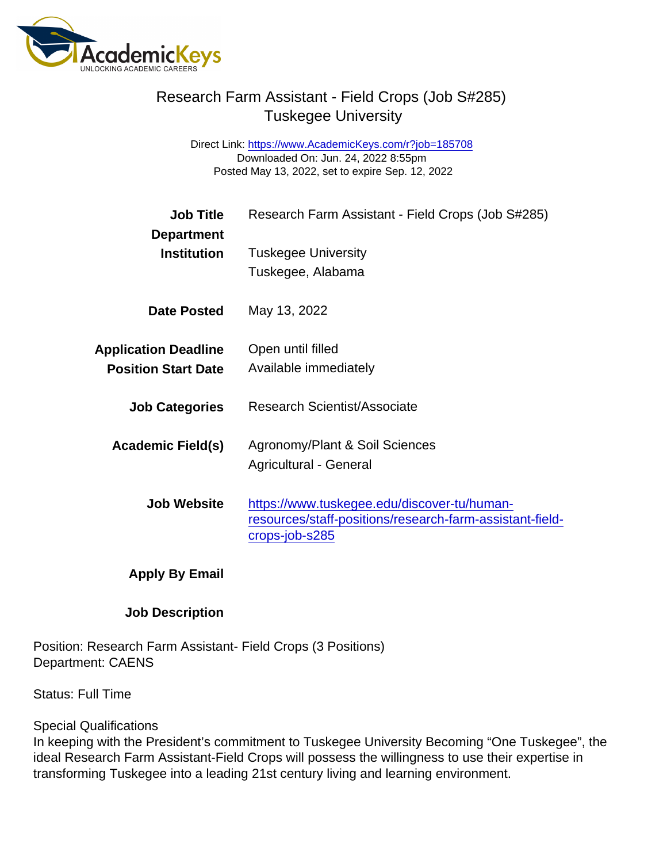## Research Farm Assistant - Field Crops (Job S#285) Tuskegee University

Direct Link: <https://www.AcademicKeys.com/r?job=185708> Downloaded On: Jun. 24, 2022 8:55pm Posted May 13, 2022, set to expire Sep. 12, 2022

| <b>Job Title</b>            | Research Farm Assistant - Field Crops (Job S#285)                                                                         |
|-----------------------------|---------------------------------------------------------------------------------------------------------------------------|
| Department                  |                                                                                                                           |
| Institution                 | <b>Tuskegee University</b>                                                                                                |
|                             | Tuskegee, Alabama                                                                                                         |
| Date Posted                 | May 13, 2022                                                                                                              |
| <b>Application Deadline</b> | Open until filled                                                                                                         |
| <b>Position Start Date</b>  | Available immediately                                                                                                     |
| <b>Job Categories</b>       | <b>Research Scientist/Associate</b>                                                                                       |
| Academic Field(s)           | Agronomy/Plant & Soil Sciences                                                                                            |
|                             | Agricultural - General                                                                                                    |
| Job Website                 | https://www.tuskegee.edu/discover-tu/human-<br>resources/staff-positions/research-farm-assistant-field-<br>crops-job-s285 |
| Apply By Email              |                                                                                                                           |

Job Description

Position: Research Farm Assistant- Field Crops (3 Positions) Department: CAENS

Status: Full Time

Special Qualifications

In keeping with the President's commitment to Tuskegee University Becoming "One Tuskegee", the ideal Research Farm Assistant-Field Crops will possess the willingness to use their expertise in transforming Tuskegee into a leading 21st century living and learning environment.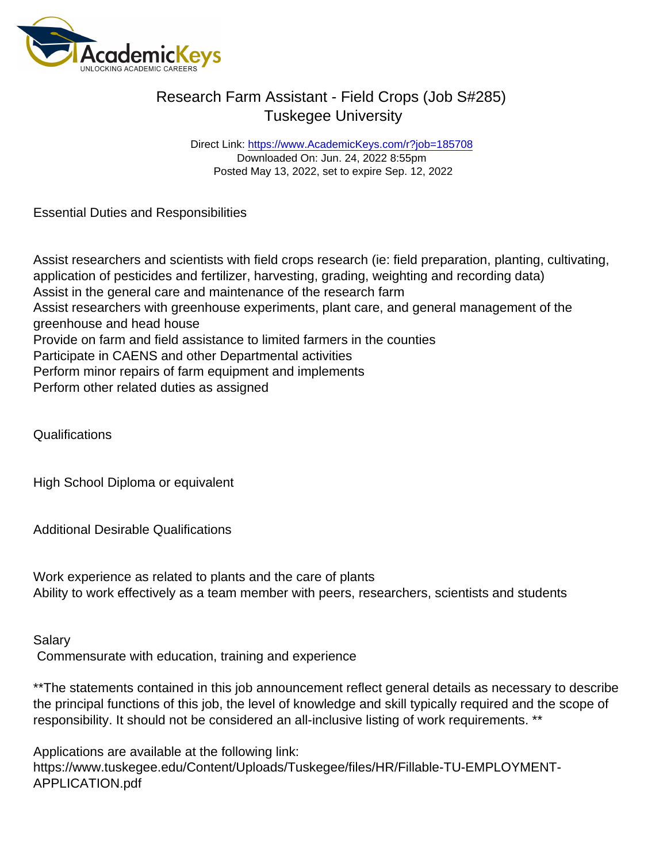## Research Farm Assistant - Field Crops (Job S#285) Tuskegee University

Direct Link: <https://www.AcademicKeys.com/r?job=185708> Downloaded On: Jun. 24, 2022 8:55pm Posted May 13, 2022, set to expire Sep. 12, 2022

Essential Duties and Responsibilities

Assist researchers and scientists with field crops research (ie: field preparation, planting, cultivating, application of pesticides and fertilizer, harvesting, grading, weighting and recording data) Assist in the general care and maintenance of the research farm Assist researchers with greenhouse experiments, plant care, and general management of the greenhouse and head house Provide on farm and field assistance to limited farmers in the counties Participate in CAENS and other Departmental activities Perform minor repairs of farm equipment and implements Perform other related duties as assigned

Qualifications

High School Diploma or equivalent

Additional Desirable Qualifications

Work experience as related to plants and the care of plants Ability to work effectively as a team member with peers, researchers, scientists and students

Salary Commensurate with education, training and experience

\*\*The statements contained in this job announcement reflect general details as necessary to describe the principal functions of this job, the level of knowledge and skill typically required and the scope of responsibility. It should not be considered an all-inclusive listing of work requirements. \*\*

Applications are available at the following link: https://www.tuskegee.edu/Content/Uploads/Tuskegee/files/HR/Fillable-TU-EMPLOYMENT-APPLICATION.pdf